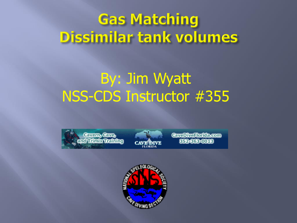## **Gas Matching** Dissimilar tank volumes

#### By: Jim Wyatt NSS-CDS Instructor #355





**CavaDivaRontexcom SFASSERING** 

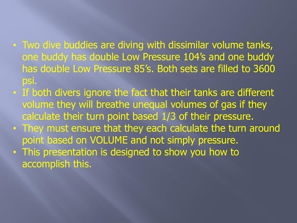- Two dive buddies are diving with dissimilar volume tanks, one buddy has double Low Pressure 104's and one buddy has double Low Pressure 85's. Both sets are filled to 3600 psi.
- If both divers ignore the fact that their tanks are different volume they will breathe unequal volumes of gas if they calculate their turn point based 1/3 of their pressure.
- They must ensure that they each calculate the turn around point based on VOLUME and not simply pressure.
- This presentation is designed to show you how to accomplish this.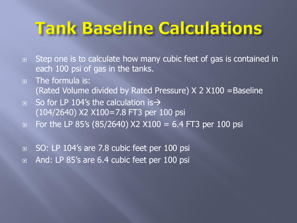# **Tank Baseline Calculations**

- □ Step one is to calculate how many cubic feet of gas is contained in each 100 psi of gas in the tanks.
- **E** The formula is: (Rated Volume divided by Rated Pressure) X 2 X100 =Baseline
- $\Box$  So for LP 104's the calculation is  $\rightarrow$ (104/2640) X2 X100=7.8 FT3 per 100 psi
- □ For the LP 85's (85/2640)  $X2 X100 = 6.4$  FT3 per 100 psi
- □ SO: LP 104's are 7.8 cubic feet per 100 psi
- And: LP 85's are 6.4 cubic feet per 100 psi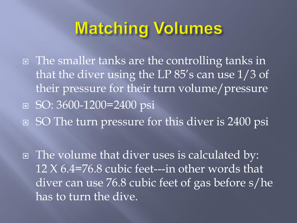# **Matching Volumes**

□ The smaller tanks are the controlling tanks in that the diver using the LP 85's can use 1/3 of their pressure for their turn volume/pressure ■ SO: 3600-1200=2400 psi ■ SO The turn pressure for this diver is 2400 psi

 The volume that diver uses is calculated by: 12 X 6.4=76.8 cubic feet---in other words that diver can use 76.8 cubic feet of gas before s/he has to turn the dive.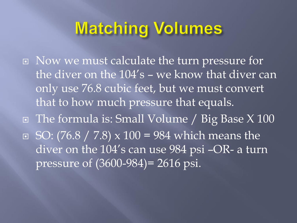### **Matching Volumes**

 Now we must calculate the turn pressure for the diver on the 104's – we know that diver can only use 76.8 cubic feet, but we must convert that to how much pressure that equals. The formula is: Small Volume / Big Base X 100  $\Box$  SO: (76.8 / 7.8) x 100 = 984 which means the diver on the 104's can use 984 psi –OR- a turn pressure of (3600-984)= 2616 psi.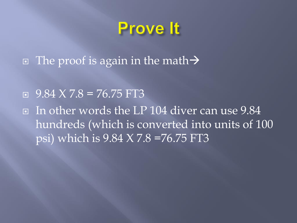### **Prove It**

- $\Box$  The proof is again in the math  $\rightarrow$
- $9.84$  X 7.8 = 76.75 FT3
- In other words the LP 104 diver can use 9.84 hundreds (which is converted into units of 100 psi) which is 9.84 X 7.8 =76.75 FT3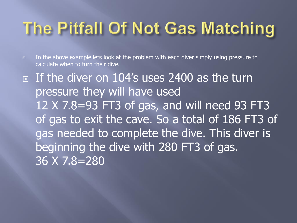# The Pitfall Of Not Gas Matching

 $\Box$  In the above example lets look at the problem with each diver simply using pressure to calculate when to turn their dive.

If the diver on 104's uses 2400 as the turn pressure they will have used 12 X 7.8=93 FT3 of gas, and will need 93 FT3 of gas to exit the cave. So a total of 186 FT3 of gas needed to complete the dive. This diver is beginning the dive with 280 FT3 of gas. 36 X 7.8=280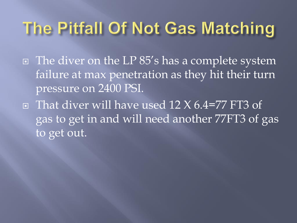# The Pitfall Of Not Gas Matching

- The diver on the LP 85's has a complete system failure at max penetration as they hit their turn pressure on 2400 PSI.
- $\Box$  That diver will have used 12 X 6.4=77 FT3 of gas to get in and will need another 77FT3 of gas to get out.